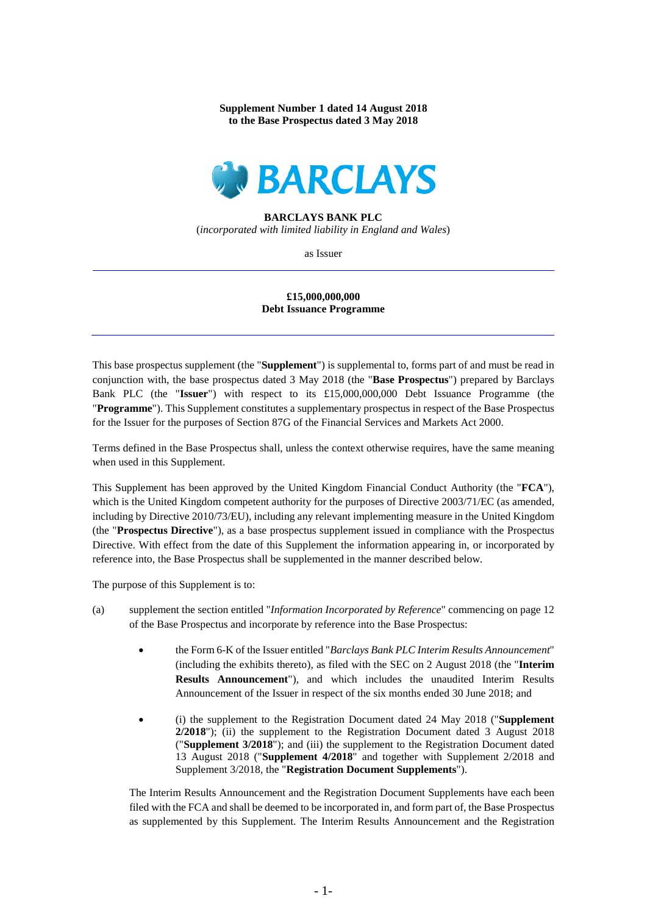**Supplement Number 1 dated 14 August 2018 to the Base Prospectus dated 3 May 2018**



## **BARCLAYS BANK PLC**

(*incorporated with limited liability in England and Wales*)

as Issuer

## **£15,000,000,000 Debt Issuance Programme**

This base prospectus supplement (the "**Supplement**") is supplemental to, forms part of and must be read in conjunction with, the base prospectus dated 3 May 2018 (the "**Base Prospectus**") prepared by Barclays Bank PLC (the "**Issuer**") with respect to its £15,000,000,000 Debt Issuance Programme (the "**Programme**"). This Supplement constitutes a supplementary prospectus in respect of the Base Prospectus for the Issuer for the purposes of Section 87G of the Financial Services and Markets Act 2000.

Terms defined in the Base Prospectus shall, unless the context otherwise requires, have the same meaning when used in this Supplement.

This Supplement has been approved by the United Kingdom Financial Conduct Authority (the "**FCA**"), which is the United Kingdom competent authority for the purposes of Directive 2003/71/EC (as amended, including by Directive 2010/73/EU), including any relevant implementing measure in the United Kingdom (the "**Prospectus Directive**"), as a base prospectus supplement issued in compliance with the Prospectus Directive. With effect from the date of this Supplement the information appearing in, or incorporated by reference into, the Base Prospectus shall be supplemented in the manner described below.

The purpose of this Supplement is to:

- (a) supplement the section entitled "*Information Incorporated by Reference*" commencing on page 12 of the Base Prospectus and incorporate by reference into the Base Prospectus:
	- the Form 6-K of the Issuer entitled "*Barclays Bank PLC Interim Results Announcement*" (including the exhibits thereto), as filed with the SEC on 2 August 2018 (the "**Interim Results Announcement**"), and which includes the unaudited Interim Results Announcement of the Issuer in respect of the six months ended 30 June 2018; and
	- (i) the supplement to the Registration Document dated 24 May 2018 ("**Supplement 2/2018**"); (ii) the supplement to the Registration Document dated 3 August 2018 ("**Supplement 3/2018**"); and (iii) the supplement to the Registration Document dated 13 August 2018 ("**Supplement 4/2018**" and together with Supplement 2/2018 and Supplement 3/2018, the "**Registration Document Supplements**").

The Interim Results Announcement and the Registration Document Supplements have each been filed with the FCA and shall be deemed to be incorporated in, and form part of, the Base Prospectus as supplemented by this Supplement. The Interim Results Announcement and the Registration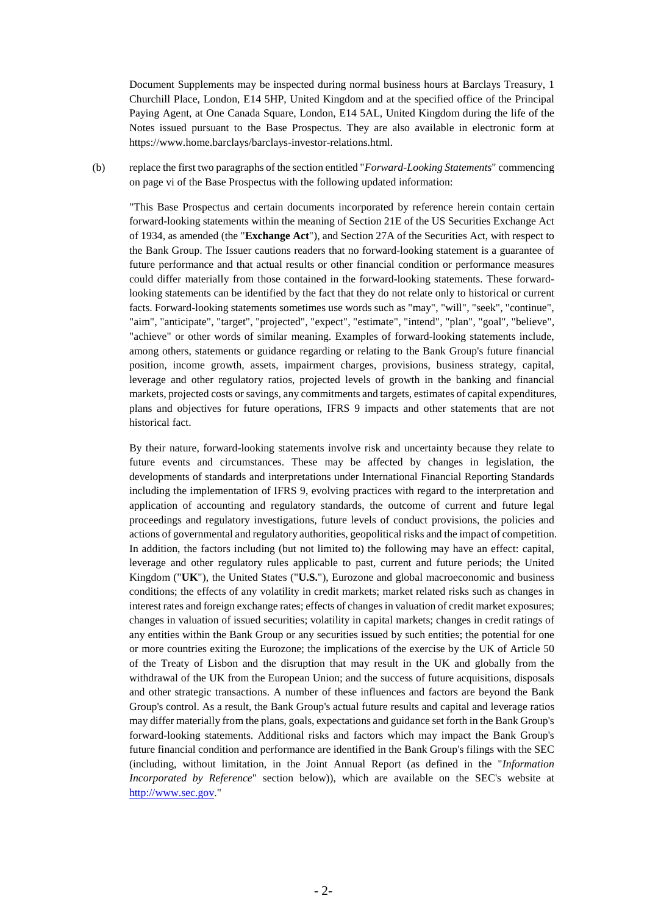Document Supplements may be inspected during normal business hours at Barclays Treasury, 1 Churchill Place, London, E14 5HP, United Kingdom and at the specified office of the Principal Paying Agent, at One Canada Square, London, E14 5AL, United Kingdom during the life of the Notes issued pursuant to the Base Prospectus. They are also available in electronic form at https://www.home.barclays/barclays-investor-relations.html.

(b) replace the first two paragraphs of the section entitled "*Forward-Looking Statements*" commencing on page vi of the Base Prospectus with the following updated information:

"This Base Prospectus and certain documents incorporated by reference herein contain certain forward-looking statements within the meaning of Section 21E of the US Securities Exchange Act of 1934, as amended (the "**Exchange Act**"), and Section 27A of the Securities Act, with respect to the Bank Group. The Issuer cautions readers that no forward-looking statement is a guarantee of future performance and that actual results or other financial condition or performance measures could differ materially from those contained in the forward-looking statements. These forwardlooking statements can be identified by the fact that they do not relate only to historical or current facts. Forward-looking statements sometimes use words such as "may", "will", "seek", "continue", "aim", "anticipate", "target", "projected", "expect", "estimate", "intend", "plan", "goal", "believe", "achieve" or other words of similar meaning. Examples of forward-looking statements include, among others, statements or guidance regarding or relating to the Bank Group's future financial position, income growth, assets, impairment charges, provisions, business strategy, capital, leverage and other regulatory ratios, projected levels of growth in the banking and financial markets, projected costs or savings, any commitments and targets, estimates of capital expenditures, plans and objectives for future operations, IFRS 9 impacts and other statements that are not historical fact.

By their nature, forward-looking statements involve risk and uncertainty because they relate to future events and circumstances. These may be affected by changes in legislation, the developments of standards and interpretations under International Financial Reporting Standards including the implementation of IFRS 9, evolving practices with regard to the interpretation and application of accounting and regulatory standards, the outcome of current and future legal proceedings and regulatory investigations, future levels of conduct provisions, the policies and actions of governmental and regulatory authorities, geopolitical risks and the impact of competition. In addition, the factors including (but not limited to) the following may have an effect: capital, leverage and other regulatory rules applicable to past, current and future periods; the United Kingdom ("**UK**"), the United States ("**U.S.**"), Eurozone and global macroeconomic and business conditions; the effects of any volatility in credit markets; market related risks such as changes in interest rates and foreign exchange rates; effects of changes in valuation of credit market exposures; changes in valuation of issued securities; volatility in capital markets; changes in credit ratings of any entities within the Bank Group or any securities issued by such entities; the potential for one or more countries exiting the Eurozone; the implications of the exercise by the UK of Article 50 of the Treaty of Lisbon and the disruption that may result in the UK and globally from the withdrawal of the UK from the European Union; and the success of future acquisitions, disposals and other strategic transactions. A number of these influences and factors are beyond the Bank Group's control. As a result, the Bank Group's actual future results and capital and leverage ratios may differ materially from the plans, goals, expectations and guidance set forth in the Bank Group's forward-looking statements. Additional risks and factors which may impact the Bank Group's future financial condition and performance are identified in the Bank Group's filings with the SEC (including, without limitation, in the Joint Annual Report (as defined in the "*Information Incorporated by Reference*" section below)), which are available on the SEC's website at [http://www.sec.gov."](http://www.sec.gov/)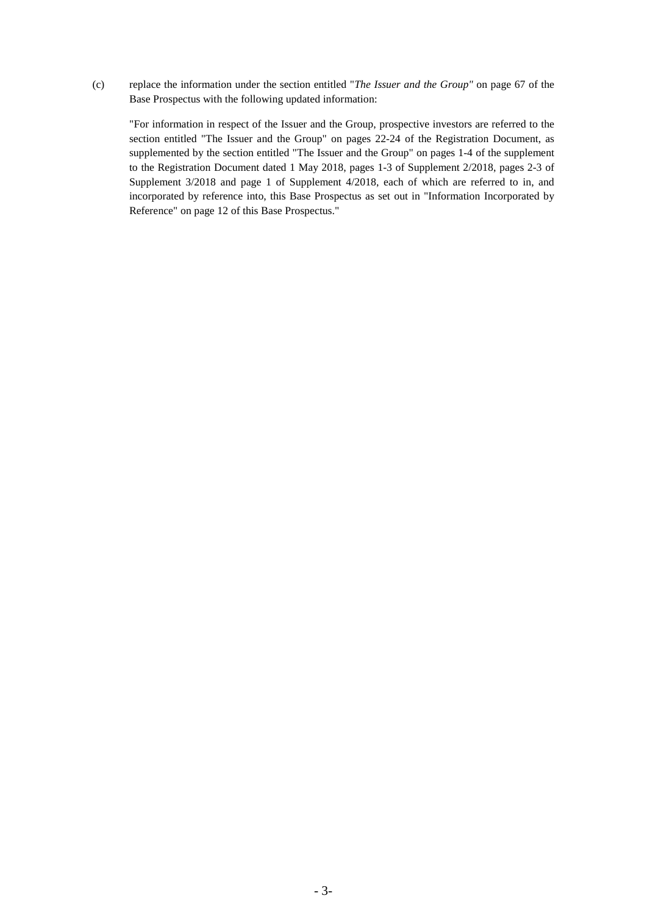(c) replace the information under the section entitled "*The Issuer and the Group"* on page 67 of the Base Prospectus with the following updated information:

"For information in respect of the Issuer and the Group, prospective investors are referred to the section entitled "The Issuer and the Group" on pages 22-24 of the Registration Document, as supplemented by the section entitled "The Issuer and the Group" on pages 1-4 of the supplement to the Registration Document dated 1 May 2018, pages 1-3 of Supplement 2/2018, pages 2-3 of Supplement 3/2018 and page 1 of Supplement 4/2018, each of which are referred to in, and incorporated by reference into, this Base Prospectus as set out in "Information Incorporated by Reference" on page 12 of this Base Prospectus."